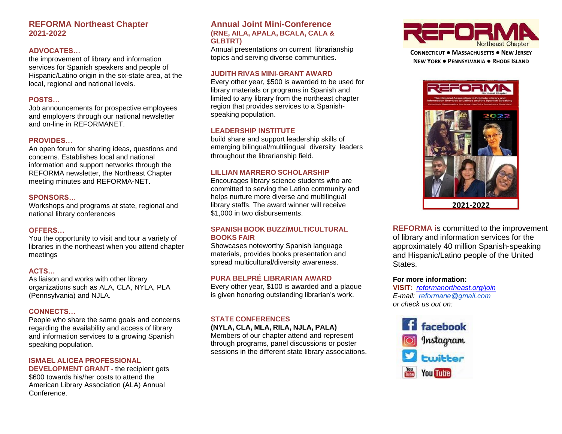# **REFORMA Northeast Chapter 2021-2022**

#### **ADVOCATES…**

the improvement of library and information services for Spanish speakers and people of Hispanic/Latino origin in the six-state area, at the local, regional and national levels.

### **POSTS…**

Job announcements for prospective employees and employers through our national newsletter and on-line in REFORMANET.

#### **PROVIDES…**

An open forum for sharing ideas, questions and concerns. Establishes local and national information and support networks through the REFORMA newsletter, the Northeast Chapter meeting minutes and REFORMA-NET.

#### **SPONSORS…**

Workshops and programs at state, regional and national library conferences

#### **OFFERS…**

You the opportunity to visit and tour a variety of libraries in the northeast when you attend chapter meetings

#### **ACTS…**

As liaison and works with other library organizations such as ALA, CLA, NYLA, PLA (Pennsylvania) and NJLA.

#### **CONNECTS…**

People who share the same goals and concerns regarding the availability and access of library and information services to a growing Spanish speaking population.

#### **ISMAEL ALICEA PROFESSIONAL**

**DEVELOPMENT GRANT -** the recipient gets \$600 towards his/her costs to attend the American Library Association (ALA) Annual Conference.

#### **Annual Joint Mini-Conference (RNE, AILA, APALA, BCALA, CALA & GLBTRT)**

Annual presentations on current librarianship topics and serving diverse communities.

#### **JUDITH RIVAS MINI-GRANT AWARD**

Every other year, \$500 is awarded to be used for library materials or programs in Spanish and limited to any library from the northeast chapter region that provides services to a Spanishspeaking population.

# **LEADERSHIP INSTITUTE**

build share and support leadership skills of emerging bilingual/multilingual diversity leaders throughout the librarianship field.

# **LILLIAN MARRERO SCHOLARSHIP**

Encourages library science students who are committed to serving the Latino community and helps nurture more diverse and multilingual library staffs. The award winner will receive \$1,000 in two disbursements.

#### **SPANISH BOOK BUZZ/MULTICULTURAL BOOKS FAIR**

Showcases noteworthy Spanish language materials, provides books presentation and spread multicultural/diversity awareness.

# **PURA BELPRÉ LIBRARIAN AWARD**

Every other year, \$100 is awarded and a plaque is given honoring outstanding librarian's work.

# **STATE CONFERENCES**

#### **(NYLA, CLA, MLA, RILA, NJLA, PALA)**

Members of our chapter attend and represent through programs, panel discussions or poster sessions in the different state library associations.



**CONNECTICUT ● MASSACHUSETTS ● NEW JERSEY NEW YORK ● PENNSYLVANIA ● RHODE ISLAND**



**REFORMA i**s committed to the improvement of library and information services for the approximately 40 million Spanish-speaking and Hispanic/Latino people of the United States.

#### **For more information:**

**VISIT:** *[reformanortheast.org/join](https://www.reforma.org/join) E-mail: reformane@gmail.com or check us out on:*